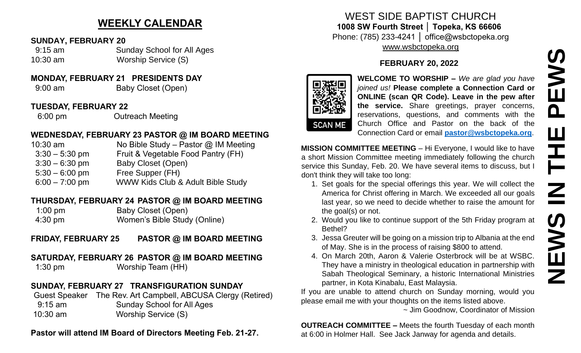# **WEEKLY CALENDAR**

#### **SUNDAY, FEBRUARY 20**

 9:15 am Sunday School for All Ages 10:30 am Worship Service (S)

### **MONDAY, FEBRUARY 21 PRESIDENTS DAY**

9:00 am Baby Closet (Open)

#### **TUESDAY, FEBRUARY 22**

6:00 pm Outreach Meeting

### **WEDNESDAY, FEBRUARY 23 PASTOR @ IM BOARD MEETING**

10:30 am No Bible Study – Pastor @ IM Meeting 3:30 – 5:30 pm Fruit & Vegetable Food Pantry (FH) 3:30 – 6:30 pm Baby Closet (Open) 5:30 – 6:00 pm Free Supper (FH) 6:00 – 7:00 pm WWW Kids Club & Adult Bible Study

### **THURSDAY, FEBRUARY 24 PASTOR @ IM BOARD MEETING**

1:00 pm Baby Closet (Open) 4:30 pm Women's Bible Study (Online)

## **FRIDAY, FEBRUARY 25 PASTOR @ IM BOARD MEETING**

## **SATURDAY, FEBRUARY 26 PASTOR @ IM BOARD MEETING**

1:30 pm Worship Team (HH)

## **SUNDAY, FEBRUARY 27 TRANSFIGURATION SUNDAY**

Guest Speaker The Rev. Art Campbell, ABCUSA Clergy (Retired) 9:15 am Sunday School for All Ages 10:30 am Worship Service (S)

### **Pastor will attend IM Board of Directors Meeting Feb. 21-27.**

### WEST SIDE BAPTIST CHURCH **1008 SW Fourth Street │ Topeka, KS 66606** Phone: (785) 233-4241 │ office@wsbctopeka.org [www.wsbctopeka.org](http://www.wsbctopeka.org/)

## **FEBRUARY 20, 2022**



**WELCOME TO WORSHIP –** *We are glad you have joined us!* **Please complete a Connection Card or ONLINE (scan QR Code). Leave in the pew after the service.** Share greetings, prayer concerns, reservations, questions, and comments with the Church Office and Pastor on the back of the Connection Card or email **[pastor@wsbctopeka.org](mailto:pastor@wsbctopeka.org)**.

**MISSION COMMITTEE MEETING** – Hi Everyone, I would like to have a short Mission Committee meeting immediately following the church service this Sunday, Feb. 20. We have several items to discuss, but I don't think they will take too long:

- 1. Set goals for the special offerings this year. We will collect the America for Christ offering in March. We exceeded all our goals last year, so we need to decide whether to raise the amount for the goal(s) or not.
- 2. Would you like to continue support of the 5th Friday program at Bethel?
- 3. Jessa Greuter will be going on a mission trip to Albania at the end of May. She is in the process of raising \$800 to attend.
- 4. On March 20th, Aaron & Valerie Osterbrock will be at WSBC. They have a ministry in theological education in partnership with Sabah Theological Seminary, a historic International Ministries partner, in Kota Kinabalu, East Malaysia.

If you are unable to attend church on Sunday morning, would you please email me with your thoughts on the items listed above.

~ Jim Goodnow, Coordinator of Mission

**OUTREACH COMMITTEE –** Meets the fourth Tuesday of each month at 6:00 in Holmer Hall. See Jack Janway for agenda and details.